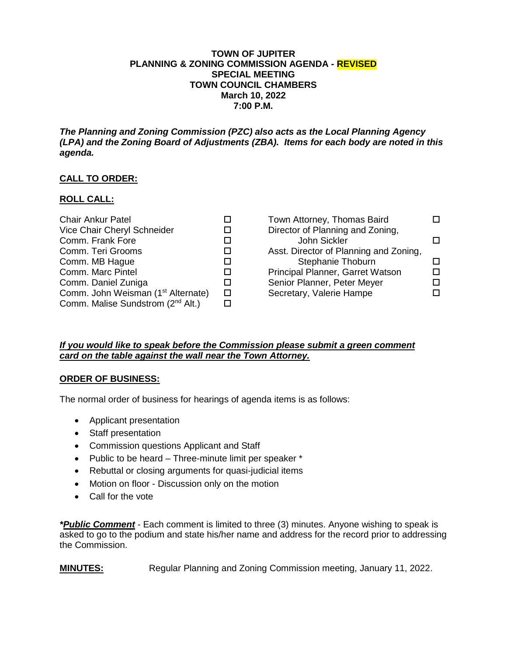#### **TOWN OF JUPITER PLANNING & ZONING COMMISSION AGENDA - REVISED SPECIAL MEETING TOWN COUNCIL CHAMBERS March 10, 2022 7:00 P.M.**

*The Planning and Zoning Commission (PZC) also acts as the Local Planning Agency (LPA) and the Zoning Board of Adjustments (ZBA). Items for each body are noted in this agenda.*

# **CALL TO ORDER:**

## **ROLL CALL:**

| <b>Chair Ankur Patel</b>                       |        | Town Attorney, Thomas Baird            |  |
|------------------------------------------------|--------|----------------------------------------|--|
| Vice Chair Cheryl Schneider                    |        | Director of Planning and Zoning,       |  |
| Comm. Frank Fore                               |        | John Sickler                           |  |
| Comm. Teri Grooms                              |        | Asst. Director of Planning and Zoning, |  |
| Comm. MB Hague                                 |        | Stephanie Thoburn                      |  |
| Comm. Marc Pintel                              |        | Principal Planner, Garret Watson       |  |
| Comm. Daniel Zuniga                            |        | Senior Planner, Peter Meyer            |  |
| Comm. John Weisman (1 <sup>st</sup> Alternate) | $\Box$ | Secretary, Valerie Hampe               |  |
| Comm. Malise Sundstrom (2 <sup>nd</sup> Alt.)  |        |                                        |  |

## *If you would like to speak before the Commission please submit a green comment card on the table against the wall near the Town Attorney.*

#### **ORDER OF BUSINESS:**

The normal order of business for hearings of agenda items is as follows:

- Applicant presentation
- Staff presentation
- Commission questions Applicant and Staff
- Public to be heard Three-minute limit per speaker \*
- Rebuttal or closing arguments for quasi-judicial items
- Motion on floor Discussion only on the motion
- Call for the vote

*\*Public Comment* - Each comment is limited to three (3) minutes. Anyone wishing to speak is asked to go to the podium and state his/her name and address for the record prior to addressing the Commission.

**MINUTES:** Regular Planning and Zoning Commission meeting, January 11, 2022.